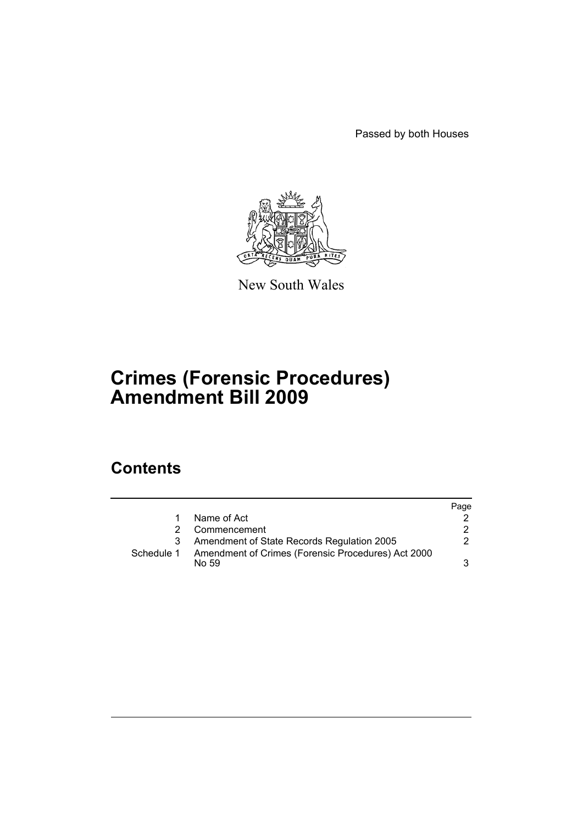Passed by both Houses



New South Wales

# **Crimes (Forensic Procedures) Amendment Bill 2009**

# **Contents**

|            |                                                             | Page |
|------------|-------------------------------------------------------------|------|
|            | Name of Act                                                 |      |
| 2          | Commencement                                                | 2    |
|            | Amendment of State Records Regulation 2005                  | 2    |
| Schedule 1 | Amendment of Crimes (Forensic Procedures) Act 2000<br>No 59 | 3    |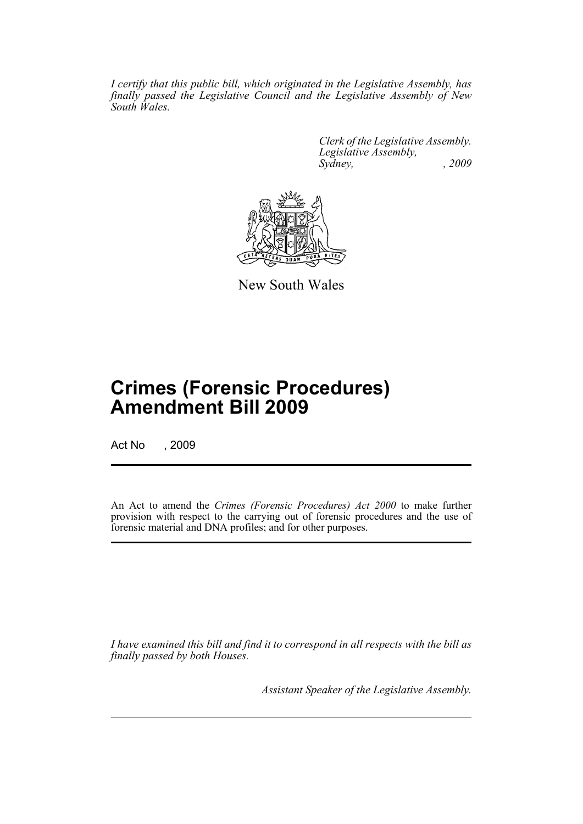*I certify that this public bill, which originated in the Legislative Assembly, has finally passed the Legislative Council and the Legislative Assembly of New South Wales.*

> *Clerk of the Legislative Assembly. Legislative Assembly, Sydney, , 2009*



New South Wales

# **Crimes (Forensic Procedures) Amendment Bill 2009**

Act No , 2009

An Act to amend the *Crimes (Forensic Procedures) Act 2000* to make further provision with respect to the carrying out of forensic procedures and the use of forensic material and DNA profiles; and for other purposes.

*I have examined this bill and find it to correspond in all respects with the bill as finally passed by both Houses.*

*Assistant Speaker of the Legislative Assembly.*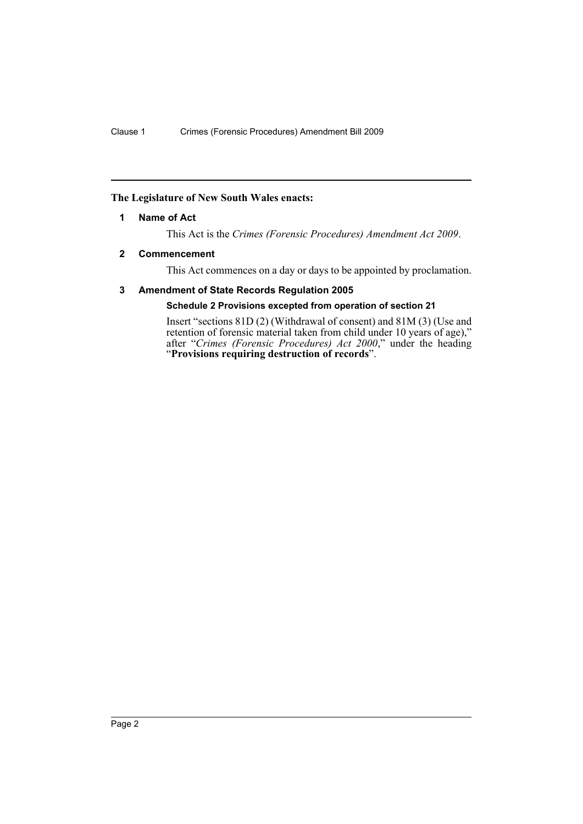## <span id="page-3-0"></span>**The Legislature of New South Wales enacts:**

## **1 Name of Act**

This Act is the *Crimes (Forensic Procedures) Amendment Act 2009*.

## <span id="page-3-1"></span>**2 Commencement**

This Act commences on a day or days to be appointed by proclamation.

## <span id="page-3-2"></span>**3 Amendment of State Records Regulation 2005**

## **Schedule 2 Provisions excepted from operation of section 21**

Insert "sections 81D (2) (Withdrawal of consent) and 81M (3) (Use and retention of forensic material taken from child under 10 years of age)," after "*Crimes (Forensic Procedures) Act 2000*," under the heading "**Provisions requiring destruction of records**".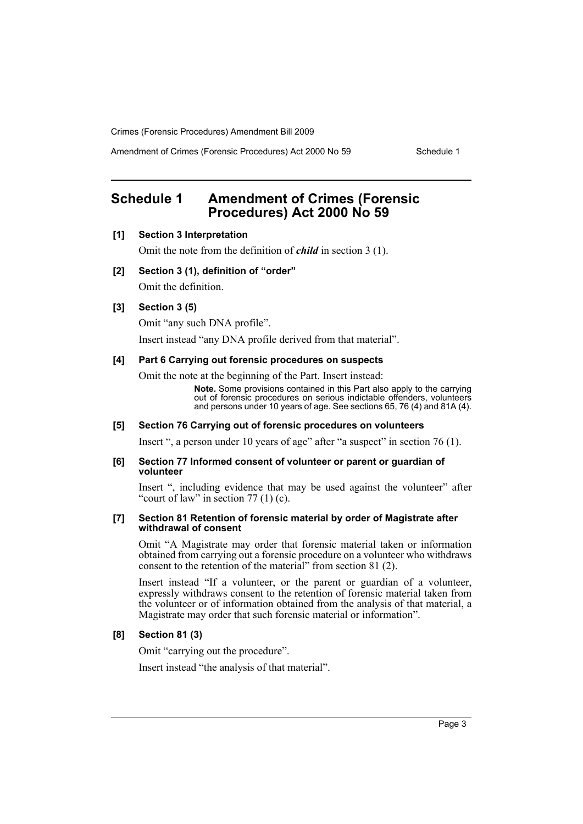Amendment of Crimes (Forensic Procedures) Act 2000 No 59 Schedule 1

# <span id="page-4-0"></span>**Schedule 1 Amendment of Crimes (Forensic Procedures) Act 2000 No 59**

## **[1] Section 3 Interpretation**

Omit the note from the definition of *child* in section 3 (1).

#### **[2] Section 3 (1), definition of "order"**

Omit the definition.

## **[3] Section 3 (5)**

Omit "any such DNA profile".

Insert instead "any DNA profile derived from that material".

## **[4] Part 6 Carrying out forensic procedures on suspects**

Omit the note at the beginning of the Part. Insert instead:

**Note.** Some provisions contained in this Part also apply to the carrying out of forensic procedures on serious indictable offenders, volunteers and persons under 10 years of age. See sections 65, 76 (4) and 81A (4).

## **[5] Section 76 Carrying out of forensic procedures on volunteers**

Insert ", a person under 10 years of age" after "a suspect" in section 76 (1).

#### **[6] Section 77 Informed consent of volunteer or parent or guardian of volunteer**

Insert ", including evidence that may be used against the volunteer" after "court of law" in section  $77(1)(c)$ .

#### **[7] Section 81 Retention of forensic material by order of Magistrate after withdrawal of consent**

Omit "A Magistrate may order that forensic material taken or information obtained from carrying out a forensic procedure on a volunteer who withdraws consent to the retention of the material" from section 81 (2).

Insert instead "If a volunteer, or the parent or guardian of a volunteer, expressly withdraws consent to the retention of forensic material taken from the volunteer or of information obtained from the analysis of that material, a Magistrate may order that such forensic material or information".

#### **[8] Section 81 (3)**

Omit "carrying out the procedure".

Insert instead "the analysis of that material".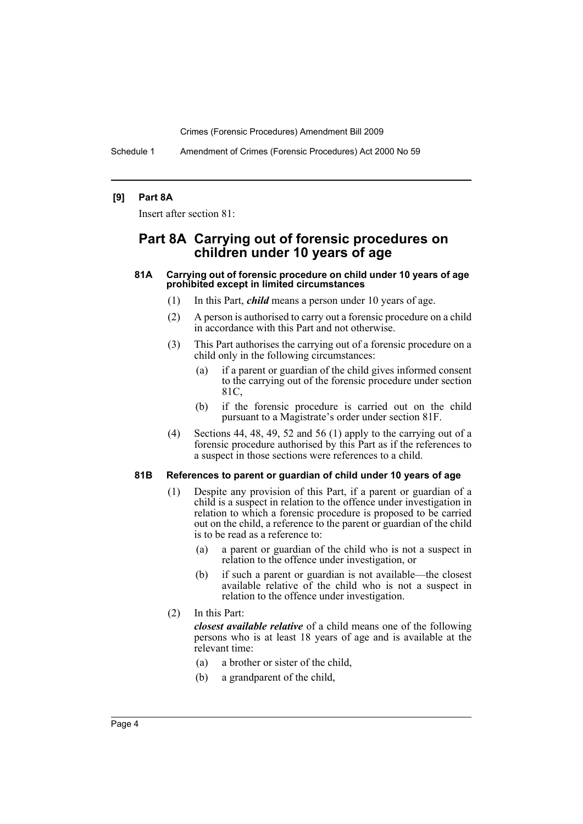Schedule 1 Amendment of Crimes (Forensic Procedures) Act 2000 No 59

## **[9] Part 8A**

Insert after section 81:

## **Part 8A Carrying out of forensic procedures on children under 10 years of age**

#### **81A Carrying out of forensic procedure on child under 10 years of age prohibited except in limited circumstances**

- (1) In this Part, *child* means a person under 10 years of age.
- (2) A person is authorised to carry out a forensic procedure on a child in accordance with this Part and not otherwise.
- (3) This Part authorises the carrying out of a forensic procedure on a child only in the following circumstances:
	- (a) if a parent or guardian of the child gives informed consent to the carrying out of the forensic procedure under section 81C,
	- (b) if the forensic procedure is carried out on the child pursuant to a Magistrate's order under section 81F.
- (4) Sections 44, 48, 49, 52 and 56 (1) apply to the carrying out of a forensic procedure authorised by this Part as if the references to a suspect in those sections were references to a child.

#### **81B References to parent or guardian of child under 10 years of age**

- (1) Despite any provision of this Part, if a parent or guardian of a child is a suspect in relation to the offence under investigation in relation to which a forensic procedure is proposed to be carried out on the child, a reference to the parent or guardian of the child is to be read as a reference to:
	- (a) a parent or guardian of the child who is not a suspect in relation to the offence under investigation, or
	- (b) if such a parent or guardian is not available—the closest available relative of the child who is not a suspect in relation to the offence under investigation.
- (2) In this Part:

*closest available relative* of a child means one of the following persons who is at least 18 years of age and is available at the relevant time:

- (a) a brother or sister of the child,
- (b) a grandparent of the child,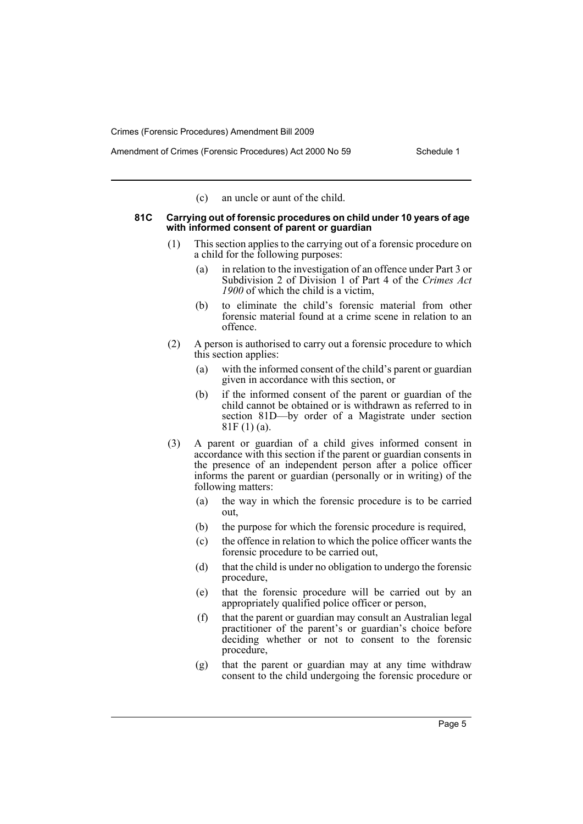(c) an uncle or aunt of the child.

#### **81C Carrying out of forensic procedures on child under 10 years of age with informed consent of parent or guardian**

- (1) This section applies to the carrying out of a forensic procedure on a child for the following purposes:
	- (a) in relation to the investigation of an offence under Part 3 or Subdivision 2 of Division 1 of Part 4 of the *Crimes Act 1900* of which the child is a victim,
	- (b) to eliminate the child's forensic material from other forensic material found at a crime scene in relation to an offence.
- (2) A person is authorised to carry out a forensic procedure to which this section applies:
	- (a) with the informed consent of the child's parent or guardian given in accordance with this section, or
	- (b) if the informed consent of the parent or guardian of the child cannot be obtained or is withdrawn as referred to in section 81D—by order of a Magistrate under section 81F (1) (a).
- (3) A parent or guardian of a child gives informed consent in accordance with this section if the parent or guardian consents in the presence of an independent person after a police officer informs the parent or guardian (personally or in writing) of the following matters:
	- (a) the way in which the forensic procedure is to be carried out,
	- (b) the purpose for which the forensic procedure is required,
	- (c) the offence in relation to which the police officer wants the forensic procedure to be carried out,
	- (d) that the child is under no obligation to undergo the forensic procedure,
	- (e) that the forensic procedure will be carried out by an appropriately qualified police officer or person,
	- (f) that the parent or guardian may consult an Australian legal practitioner of the parent's or guardian's choice before deciding whether or not to consent to the forensic procedure,
	- (g) that the parent or guardian may at any time withdraw consent to the child undergoing the forensic procedure or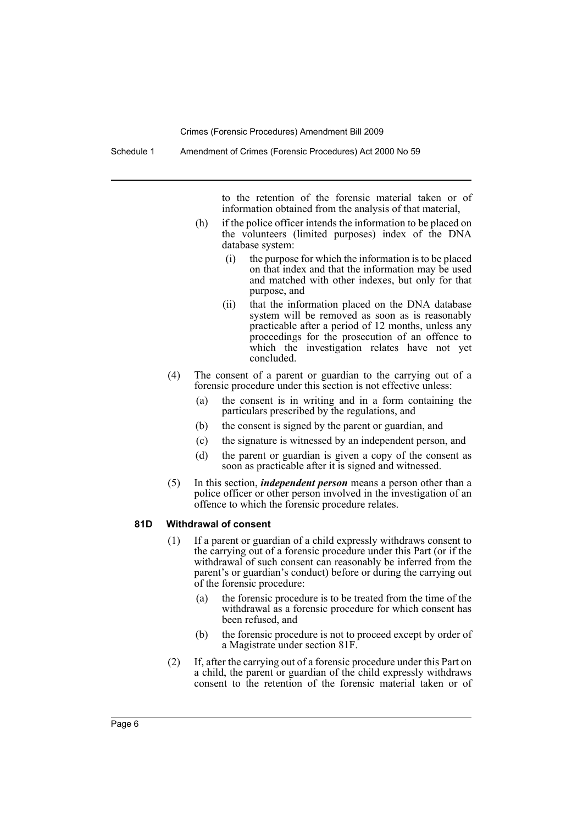to the retention of the forensic material taken or of information obtained from the analysis of that material,

- (h) if the police officer intends the information to be placed on the volunteers (limited purposes) index of the DNA database system:
	- (i) the purpose for which the information is to be placed on that index and that the information may be used and matched with other indexes, but only for that purpose, and
	- (ii) that the information placed on the DNA database system will be removed as soon as is reasonably practicable after a period of 12 months, unless any proceedings for the prosecution of an offence to which the investigation relates have not yet concluded.
- (4) The consent of a parent or guardian to the carrying out of a forensic procedure under this section is not effective unless:
	- (a) the consent is in writing and in a form containing the particulars prescribed by the regulations, and
	- (b) the consent is signed by the parent or guardian, and
	- (c) the signature is witnessed by an independent person, and
	- (d) the parent or guardian is given a copy of the consent as soon as practicable after it is signed and witnessed.
- (5) In this section, *independent person* means a person other than a police officer or other person involved in the investigation of an offence to which the forensic procedure relates.

#### **81D Withdrawal of consent**

- (1) If a parent or guardian of a child expressly withdraws consent to the carrying out of a forensic procedure under this Part (or if the withdrawal of such consent can reasonably be inferred from the parent's or guardian's conduct) before or during the carrying out of the forensic procedure:
	- (a) the forensic procedure is to be treated from the time of the withdrawal as a forensic procedure for which consent has been refused, and
	- (b) the forensic procedure is not to proceed except by order of a Magistrate under section 81F.
- (2) If, after the carrying out of a forensic procedure under this Part on a child, the parent or guardian of the child expressly withdraws consent to the retention of the forensic material taken or of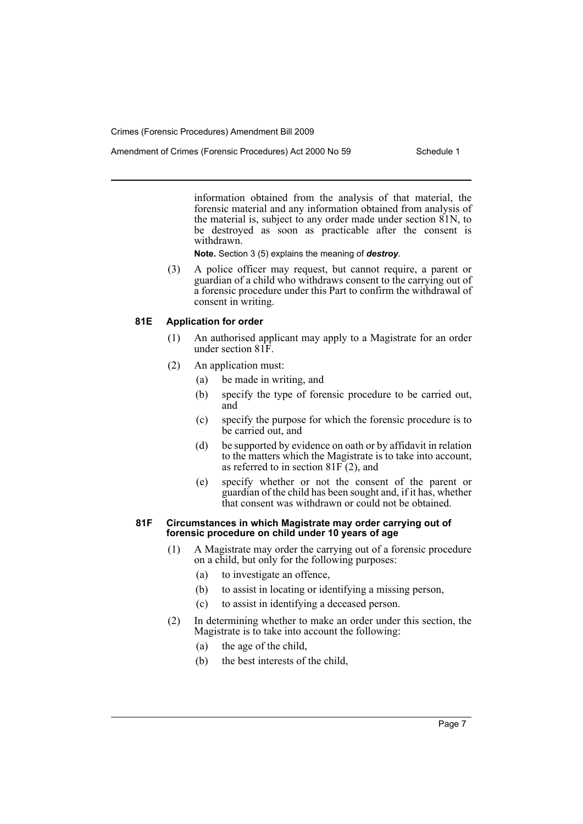information obtained from the analysis of that material, the forensic material and any information obtained from analysis of the material is, subject to any order made under section 81N, to be destroyed as soon as practicable after the consent is withdrawn.

**Note.** Section 3 (5) explains the meaning of *destroy*.

(3) A police officer may request, but cannot require, a parent or guardian of a child who withdraws consent to the carrying out of a forensic procedure under this Part to confirm the withdrawal of consent in writing.

## **81E Application for order**

- (1) An authorised applicant may apply to a Magistrate for an order under section 81F.
- (2) An application must:
	- (a) be made in writing, and
	- (b) specify the type of forensic procedure to be carried out, and
	- (c) specify the purpose for which the forensic procedure is to be carried out, and
	- (d) be supported by evidence on oath or by affidavit in relation to the matters which the Magistrate is to take into account, as referred to in section  $81F(2)$ , and
	- (e) specify whether or not the consent of the parent or guardian of the child has been sought and, if it has, whether that consent was withdrawn or could not be obtained.

### **81F Circumstances in which Magistrate may order carrying out of forensic procedure on child under 10 years of age**

- (1) A Magistrate may order the carrying out of a forensic procedure on a child, but only for the following purposes:
	- (a) to investigate an offence,
	- (b) to assist in locating or identifying a missing person,
	- (c) to assist in identifying a deceased person.
- (2) In determining whether to make an order under this section, the Magistrate is to take into account the following:
	- (a) the age of the child,
	- (b) the best interests of the child,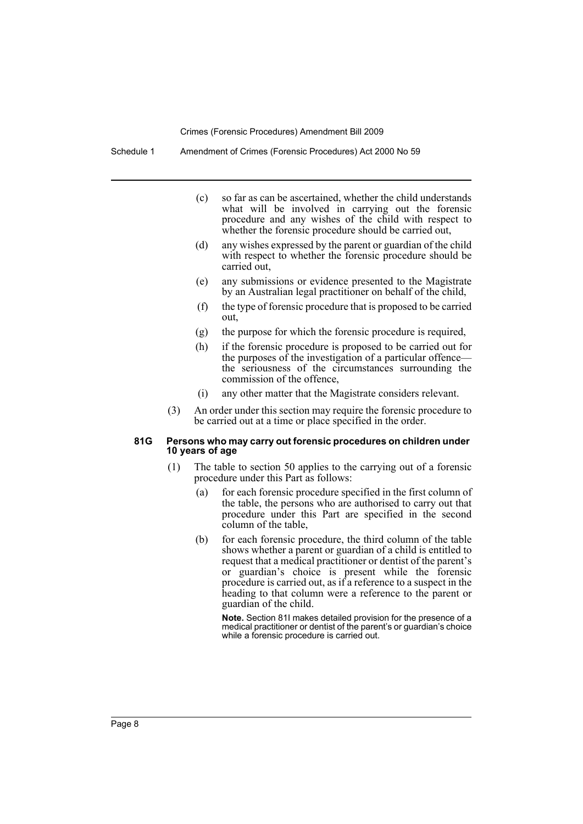Schedule 1 Amendment of Crimes (Forensic Procedures) Act 2000 No 59

- (c) so far as can be ascertained, whether the child understands what will be involved in carrying out the forensic procedure and any wishes of the child with respect to whether the forensic procedure should be carried out,
- (d) any wishes expressed by the parent or guardian of the child with respect to whether the forensic procedure should be carried out,
- (e) any submissions or evidence presented to the Magistrate by an Australian legal practitioner on behalf of the child,
- (f) the type of forensic procedure that is proposed to be carried out,
- (g) the purpose for which the forensic procedure is required,
- (h) if the forensic procedure is proposed to be carried out for the purposes of the investigation of a particular offence the seriousness of the circumstances surrounding the commission of the offence,
- (i) any other matter that the Magistrate considers relevant.
- (3) An order under this section may require the forensic procedure to be carried out at a time or place specified in the order.

#### **81G Persons who may carry out forensic procedures on children under 10 years of age**

- (1) The table to section 50 applies to the carrying out of a forensic procedure under this Part as follows:
	- (a) for each forensic procedure specified in the first column of the table, the persons who are authorised to carry out that procedure under this Part are specified in the second column of the table,
	- (b) for each forensic procedure, the third column of the table shows whether a parent or guardian of a child is entitled to request that a medical practitioner or dentist of the parent's or guardian's choice is present while the forensic procedure is carried out, as if a reference to a suspect in the heading to that column were a reference to the parent or guardian of the child.

**Note.** Section 81I makes detailed provision for the presence of a medical practitioner or dentist of the parent's or guardian's choice while a forensic procedure is carried out.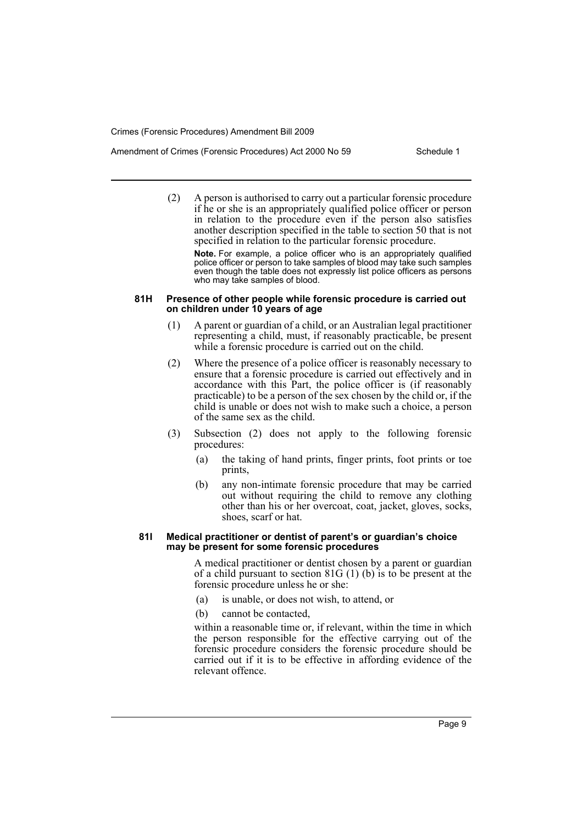(2) A person is authorised to carry out a particular forensic procedure if he or she is an appropriately qualified police officer or person in relation to the procedure even if the person also satisfies another description specified in the table to section 50 that is not specified in relation to the particular forensic procedure.

**Note.** For example, a police officer who is an appropriately qualified police officer or person to take samples of blood may take such samples even though the table does not expressly list police officers as persons who may take samples of blood.

#### **81H Presence of other people while forensic procedure is carried out on children under 10 years of age**

- (1) A parent or guardian of a child, or an Australian legal practitioner representing a child, must, if reasonably practicable, be present while a forensic procedure is carried out on the child.
- (2) Where the presence of a police officer is reasonably necessary to ensure that a forensic procedure is carried out effectively and in accordance with this Part, the police officer is (if reasonably practicable) to be a person of the sex chosen by the child or, if the child is unable or does not wish to make such a choice, a person of the same sex as the child.
- (3) Subsection (2) does not apply to the following forensic procedures:
	- (a) the taking of hand prints, finger prints, foot prints or toe prints,
	- (b) any non-intimate forensic procedure that may be carried out without requiring the child to remove any clothing other than his or her overcoat, coat, jacket, gloves, socks, shoes, scarf or hat.

#### **81I Medical practitioner or dentist of parent's or guardian's choice may be present for some forensic procedures**

A medical practitioner or dentist chosen by a parent or guardian of a child pursuant to section 81G (1) (b) is to be present at the forensic procedure unless he or she:

- (a) is unable, or does not wish, to attend, or
- (b) cannot be contacted,

within a reasonable time or, if relevant, within the time in which the person responsible for the effective carrying out of the forensic procedure considers the forensic procedure should be carried out if it is to be effective in affording evidence of the relevant offence.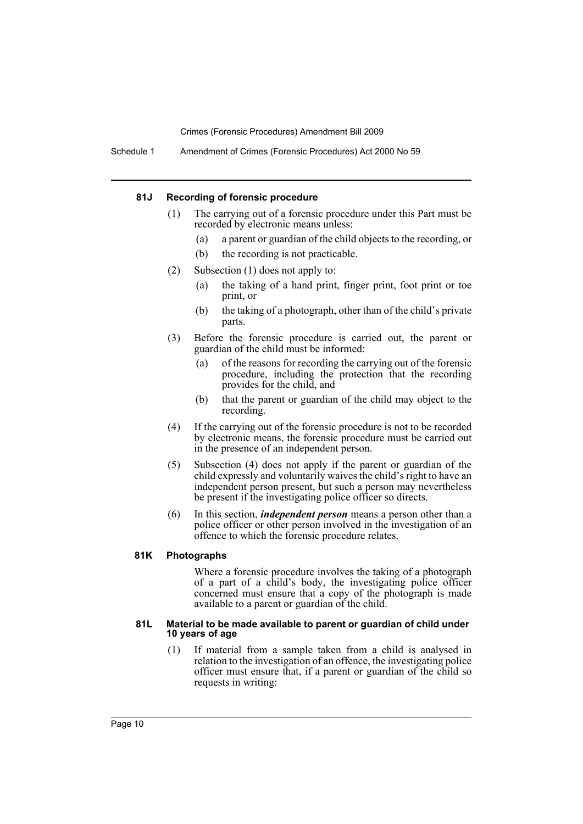Schedule 1 Amendment of Crimes (Forensic Procedures) Act 2000 No 59

#### **81J Recording of forensic procedure**

- (1) The carrying out of a forensic procedure under this Part must be recorded by electronic means unless:
	- (a) a parent or guardian of the child objects to the recording, or
	- (b) the recording is not practicable.
- (2) Subsection (1) does not apply to:
	- (a) the taking of a hand print, finger print, foot print or toe print, or
	- (b) the taking of a photograph, other than of the child's private parts.
- (3) Before the forensic procedure is carried out, the parent or guardian of the child must be informed:
	- (a) of the reasons for recording the carrying out of the forensic procedure, including the protection that the recording provides for the child, and
	- (b) that the parent or guardian of the child may object to the recording.
- (4) If the carrying out of the forensic procedure is not to be recorded by electronic means, the forensic procedure must be carried out in the presence of an independent person.
- (5) Subsection (4) does not apply if the parent or guardian of the child expressly and voluntarily waives the child's right to have an independent person present, but such a person may nevertheless be present if the investigating police officer so directs.
- (6) In this section, *independent person* means a person other than a police officer or other person involved in the investigation of an offence to which the forensic procedure relates.

#### **81K Photographs**

Where a forensic procedure involves the taking of a photograph of a part of a child's body, the investigating police officer concerned must ensure that a copy of the photograph is made available to a parent or guardian of the child.

#### **81L Material to be made available to parent or guardian of child under 10 years of age**

(1) If material from a sample taken from a child is analysed in relation to the investigation of an offence, the investigating police officer must ensure that, if a parent or guardian of the child so requests in writing: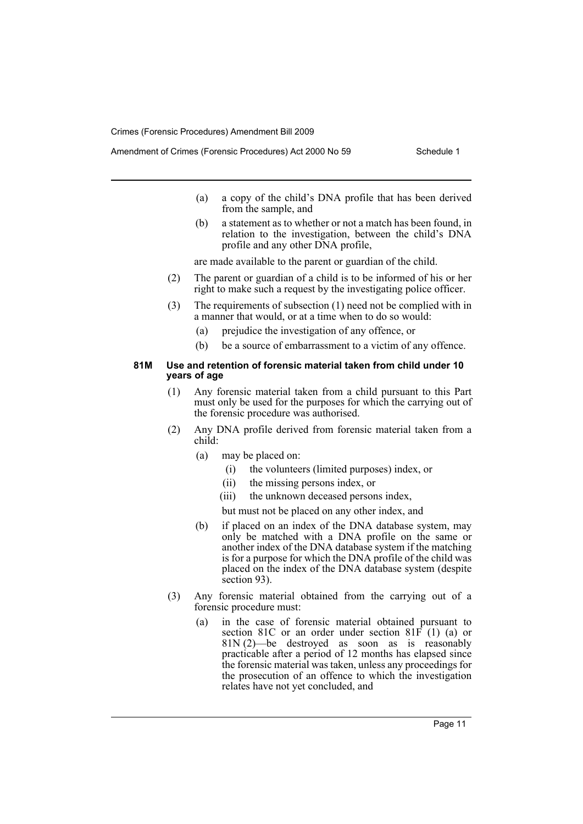- (a) a copy of the child's DNA profile that has been derived from the sample, and
- (b) a statement as to whether or not a match has been found, in relation to the investigation, between the child's DNA profile and any other DNA profile,

are made available to the parent or guardian of the child.

- (2) The parent or guardian of a child is to be informed of his or her right to make such a request by the investigating police officer.
- (3) The requirements of subsection (1) need not be complied with in a manner that would, or at a time when to do so would:
	- (a) prejudice the investigation of any offence, or
	- (b) be a source of embarrassment to a victim of any offence.

#### **81M Use and retention of forensic material taken from child under 10 years of age**

- (1) Any forensic material taken from a child pursuant to this Part must only be used for the purposes for which the carrying out of the forensic procedure was authorised.
- (2) Any DNA profile derived from forensic material taken from a child:
	- (a) may be placed on:
		- (i) the volunteers (limited purposes) index, or
		- (ii) the missing persons index, or
		- (iii) the unknown deceased persons index,
		- but must not be placed on any other index, and
	- (b) if placed on an index of the DNA database system, may only be matched with a DNA profile on the same or another index of the DNA database system if the matching is for a purpose for which the DNA profile of the child was placed on the index of the DNA database system (despite section 93).
- (3) Any forensic material obtained from the carrying out of a forensic procedure must:
	- (a) in the case of forensic material obtained pursuant to section 81C or an order under section 81F (1) (a) or 81N (2)—be destroyed as soon as is reasonably practicable after a period of 12 months has elapsed since the forensic material was taken, unless any proceedings for the prosecution of an offence to which the investigation relates have not yet concluded, and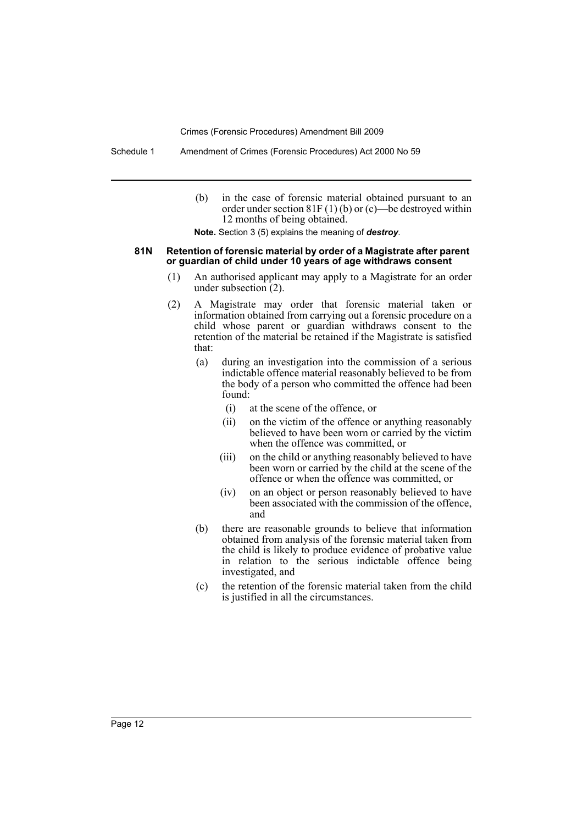Schedule 1 Amendment of Crimes (Forensic Procedures) Act 2000 No 59

(b) in the case of forensic material obtained pursuant to an order under section  $81F(1)$  (b) or (c)—be destroyed within 12 months of being obtained.

**Note.** Section 3 (5) explains the meaning of *destroy*.

#### **81N Retention of forensic material by order of a Magistrate after parent or guardian of child under 10 years of age withdraws consent**

- (1) An authorised applicant may apply to a Magistrate for an order under subsection (2).
- (2) A Magistrate may order that forensic material taken or information obtained from carrying out a forensic procedure on a child whose parent or guardian withdraws consent to the retention of the material be retained if the Magistrate is satisfied that:
	- (a) during an investigation into the commission of a serious indictable offence material reasonably believed to be from the body of a person who committed the offence had been found:
		- (i) at the scene of the offence, or
		- (ii) on the victim of the offence or anything reasonably believed to have been worn or carried by the victim when the offence was committed, or
		- (iii) on the child or anything reasonably believed to have been worn or carried by the child at the scene of the offence or when the offence was committed, or
		- (iv) on an object or person reasonably believed to have been associated with the commission of the offence, and
	- (b) there are reasonable grounds to believe that information obtained from analysis of the forensic material taken from the child is likely to produce evidence of probative value in relation to the serious indictable offence being investigated, and
	- (c) the retention of the forensic material taken from the child is justified in all the circumstances.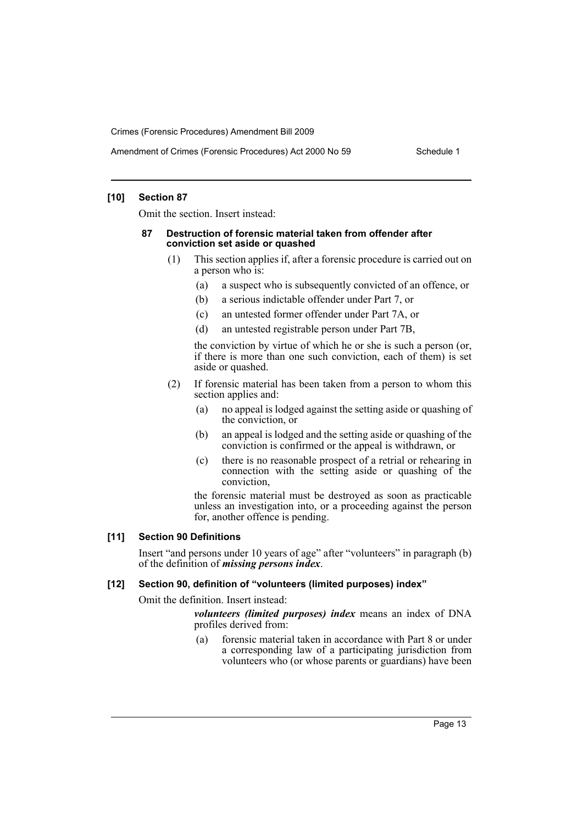## **[10] Section 87**

Omit the section. Insert instead:

#### **87 Destruction of forensic material taken from offender after conviction set aside or quashed**

- (1) This section applies if, after a forensic procedure is carried out on a person who is:
	- (a) a suspect who is subsequently convicted of an offence, or
	- (b) a serious indictable offender under Part 7, or
	- (c) an untested former offender under Part 7A, or
	- (d) an untested registrable person under Part 7B,

the conviction by virtue of which he or she is such a person (or, if there is more than one such conviction, each of them) is set aside or quashed.

- (2) If forensic material has been taken from a person to whom this section applies and:
	- (a) no appeal is lodged against the setting aside or quashing of the conviction, or
	- (b) an appeal is lodged and the setting aside or quashing of the conviction is confirmed or the appeal is withdrawn, or
	- (c) there is no reasonable prospect of a retrial or rehearing in connection with the setting aside or quashing of the conviction,

the forensic material must be destroyed as soon as practicable unless an investigation into, or a proceeding against the person for, another offence is pending.

## **[11] Section 90 Definitions**

Insert "and persons under 10 years of age" after "volunteers" in paragraph (b) of the definition of *missing persons index*.

## **[12] Section 90, definition of "volunteers (limited purposes) index"**

Omit the definition. Insert instead:

*volunteers (limited purposes) index* means an index of DNA profiles derived from:

(a) forensic material taken in accordance with Part 8 or under a corresponding law of a participating jurisdiction from volunteers who (or whose parents or guardians) have been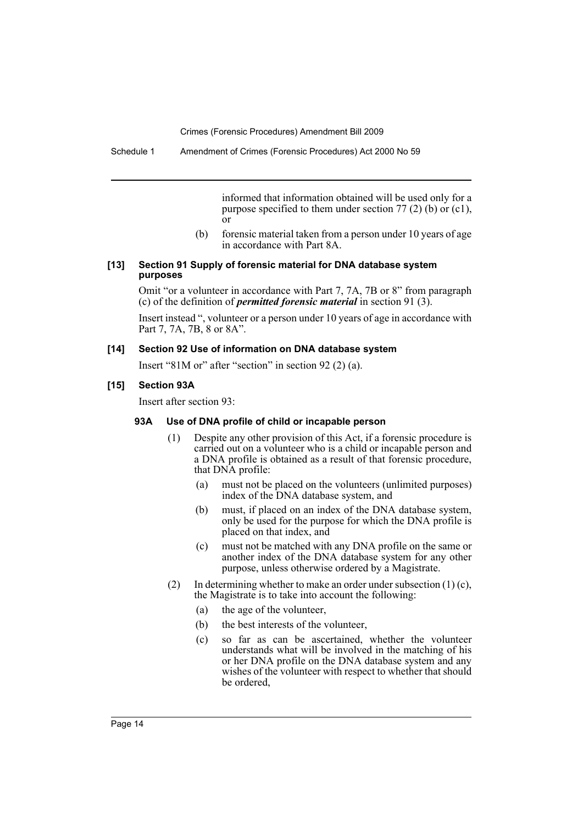informed that information obtained will be used only for a purpose specified to them under section 77 (2) (b) or (c1), or

(b) forensic material taken from a person under 10 years of age in accordance with Part 8A.

#### **[13] Section 91 Supply of forensic material for DNA database system purposes**

Omit "or a volunteer in accordance with Part 7, 7A, 7B or 8" from paragraph (c) of the definition of *permitted forensic material* in section 91 (3).

Insert instead ", volunteer or a person under 10 years of age in accordance with Part 7, 7A, 7B, 8 or 8A".

#### **[14] Section 92 Use of information on DNA database system**

Insert "81M or" after "section" in section 92 (2) (a).

## **[15] Section 93A**

Insert after section 93:

#### **93A Use of DNA profile of child or incapable person**

- (1) Despite any other provision of this Act, if a forensic procedure is carried out on a volunteer who is a child or incapable person and a DNA profile is obtained as a result of that forensic procedure, that DNA profile:
	- (a) must not be placed on the volunteers (unlimited purposes) index of the DNA database system, and
	- (b) must, if placed on an index of the DNA database system, only be used for the purpose for which the DNA profile is placed on that index, and
	- (c) must not be matched with any DNA profile on the same or another index of the DNA database system for any other purpose, unless otherwise ordered by a Magistrate.
- (2) In determining whether to make an order under subsection  $(1)(c)$ , the Magistrate is to take into account the following:
	- (a) the age of the volunteer,
	- (b) the best interests of the volunteer,
	- (c) so far as can be ascertained, whether the volunteer understands what will be involved in the matching of his or her DNA profile on the DNA database system and any wishes of the volunteer with respect to whether that should be ordered,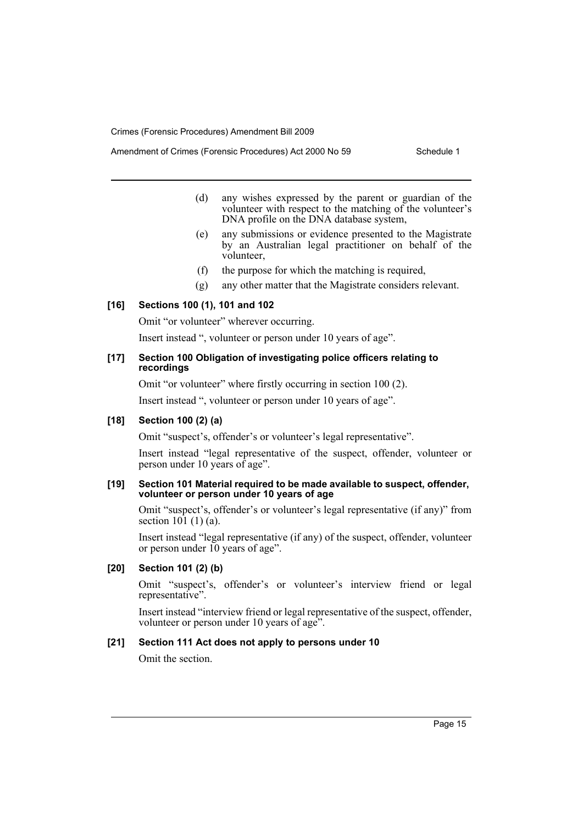- (d) any wishes expressed by the parent or guardian of the volunteer with respect to the matching of the volunteer's DNA profile on the DNA database system,
- (e) any submissions or evidence presented to the Magistrate by an Australian legal practitioner on behalf of the volunteer,
- (f) the purpose for which the matching is required,
- (g) any other matter that the Magistrate considers relevant.

## **[16] Sections 100 (1), 101 and 102**

Omit "or volunteer" wherever occurring.

Insert instead ", volunteer or person under 10 years of age".

## **[17] Section 100 Obligation of investigating police officers relating to recordings**

Omit "or volunteer" where firstly occurring in section 100 (2).

Insert instead ", volunteer or person under 10 years of age".

#### **[18] Section 100 (2) (a)**

Omit "suspect's, offender's or volunteer's legal representative".

Insert instead "legal representative of the suspect, offender, volunteer or person under 10 years of age".

#### **[19] Section 101 Material required to be made available to suspect, offender, volunteer or person under 10 years of age**

Omit "suspect's, offender's or volunteer's legal representative (if any)" from section  $10\overline{1}$  (1) (a).

Insert instead "legal representative (if any) of the suspect, offender, volunteer or person under 10 years of age".

## **[20] Section 101 (2) (b)**

Omit "suspect's, offender's or volunteer's interview friend or legal representative".

Insert instead "interview friend or legal representative of the suspect, offender, volunteer or person under 10 years of age".

#### **[21] Section 111 Act does not apply to persons under 10**

Omit the section.